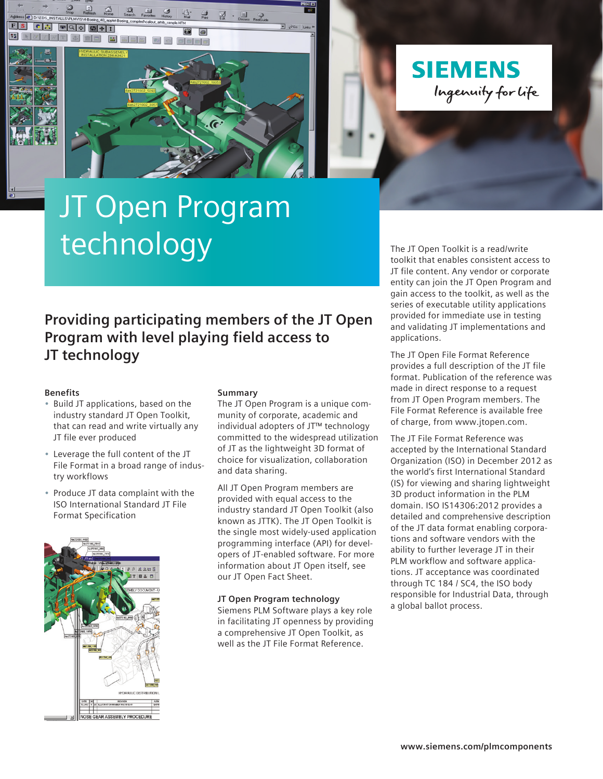**SIEMENS** Ingenuity for life

# JT Open Program technology

**call eat entire** 

### **Providing participating members of the JT Open Program with level playing field access to JT technology**

#### **Benefits**

**GRE** 

 $\n **②**\n$ 

- Build JT applications, based on the industry standard JT Open Toolkit, that can read and write virtually any JT file ever produced
- Leverage the full content of the JT File Format in a broad range of industry workflows
- Produce JT data complaint with the ISO International Standard JT File Format Specification



#### **Summary**

The JT Open Program is a unique community of corporate, academic and individual adopters of JT™ technology committed to the widespread utilization of JT as the lightweight 3D format of choice for visualization, collaboration and data sharing.

All JT Open Program members are provided with equal access to the industry standard JT Open Toolkit (also known as JTTK). The JT Open Toolkit is the single most widely-used application programming interface (API) for developers of JT-enabled software. For more information about JT Open itself, see our JT Open Fact Sheet.

#### **JT Open Program technology**

Siemens PLM Software plays a key role in facilitating JT openness by providing a comprehensive JT Open Toolkit, as well as the JT File Format Reference.

The JT Open Toolkit is a read/write toolkit that enables consistent access to JT file content. Any vendor or corporate entity can join the JT Open Program and gain access to the toolkit, as well as the series of executable utility applications provided for immediate use in testing and validating JT implementations and applications.

The JT Open File Format Reference provides a full description of the JT file format. Publication of the reference was made in direct response to a request from JT Open Program members. The File Format Reference is available free of charge, from www.jtopen.com.

The JT File Format Reference was accepted by the International Standard Organization (ISO) in December 2012 as the world's first International Standard (IS) for viewing and sharing lightweight 3D product information in the PLM domain. ISO IS14306:2012 provides a detailed and comprehensive description of the JT data format enabling corporations and software vendors with the ability to further leverage JT in their PLM workflow and software applications. JT acceptance was coordinated through TC 184 / SC4, the ISO body responsible for Industrial Data, through a global ballot process.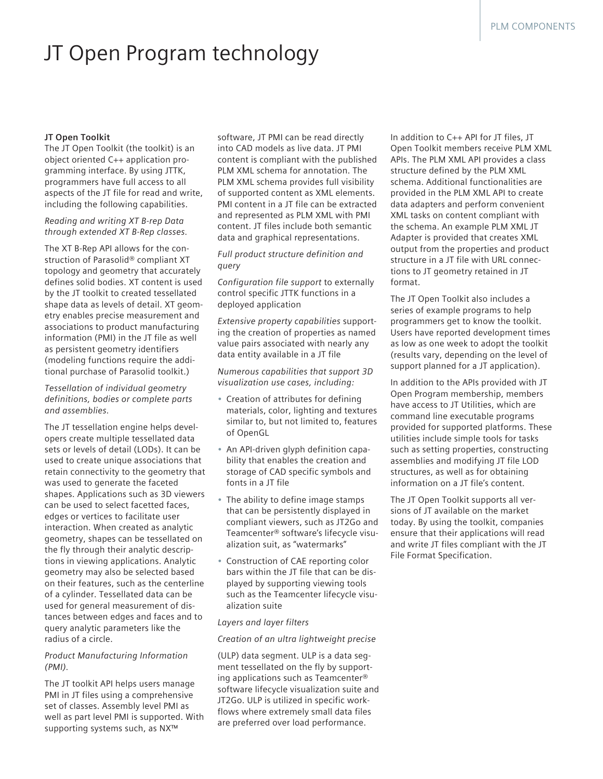## JT Open Program technology

#### **JT Open Toolkit**

The JT Open Toolkit (the toolkit) is an object oriented C++ application programming interface. By using JTTK, programmers have full access to all aspects of the JT file for read and write, including the following capabilities.

*Reading and writing XT B-rep Data through extended XT B-Rep classes.*

The XT B-Rep API allows for the construction of Parasolid® compliant XT topology and geometry that accurately defines solid bodies. XT content is used by the JT toolkit to created tessellated shape data as levels of detail. XT geometry enables precise measurement and associations to product manufacturing information (PMI) in the JT file as well as persistent geometry identifiers (modeling functions require the additional purchase of Parasolid toolkit.)

#### *Tessellation of individual geometry definitions, bodies or complete parts and assemblies.*

The JT tessellation engine helps developers create multiple tessellated data sets or levels of detail (LODs). It can be used to create unique associations that retain connectivity to the geometry that was used to generate the faceted shapes. Applications such as 3D viewers can be used to select facetted faces, edges or vertices to facilitate user interaction. When created as analytic geometry, shapes can be tessellated on the fly through their analytic descriptions in viewing applications. Analytic geometry may also be selected based on their features, such as the centerline of a cylinder. Tessellated data can be used for general measurement of distances between edges and faces and to query analytic parameters like the radius of a circle.

#### *Product Manufacturing Information (PMI).*

The JT toolkit API helps users manage PMI in JT files using a comprehensive set of classes. Assembly level PMI as well as part level PMI is supported. With supporting systems such, as NX™

software, JT PMI can be read directly into CAD models as live data. JT PMI content is compliant with the published PLM XML schema for annotation. The PLM XML schema provides full visibility of supported content as XML elements. PMI content in a JT file can be extracted and represented as PLM XML with PMI content. JT files include both semantic data and graphical representations.

*Full product structure definition and query*

*Configuration file support* to externally control specific JTTK functions in a deployed application

*Extensive property capabilities* supporting the creation of properties as named value pairs associated with nearly any data entity available in a JT file

*Numerous capabilities that support 3D visualization use cases, including:*

- Creation of attributes for defining materials, color, lighting and textures similar to, but not limited to, features of OpenGL
- An API-driven glyph definition capability that enables the creation and storage of CAD specific symbols and fonts in a JT file
- The ability to define image stamps that can be persistently displayed in compliant viewers, such as JT2Go and Teamcenter® software's lifecycle visualization suit, as "watermarks"
- Construction of CAE reporting color bars within the JT file that can be displayed by supporting viewing tools such as the Teamcenter lifecycle visualization suite

#### *Layers and layer filters*

#### *Creation of an ultra lightweight precise*

(ULP) data segment. ULP is a data segment tessellated on the fly by supporting applications such as Teamcenter® software lifecycle visualization suite and JT2Go. ULP is utilized in specific workflows where extremely small data files are preferred over load performance.

In addition to C++ API for JT files, JT Open Toolkit members receive PLM XML APIs. The PLM XML API provides a class structure defined by the PLM XML schema. Additional functionalities are provided in the PLM XML API to create data adapters and perform convenient XML tasks on content compliant with the schema. An example PLM XML JT Adapter is provided that creates XML output from the properties and product structure in a JT file with URL connections to JT geometry retained in JT format.

The JT Open Toolkit also includes a series of example programs to help programmers get to know the toolkit. Users have reported development times as low as one week to adopt the toolkit (results vary, depending on the level of support planned for a JT application).

In addition to the APIs provided with JT Open Program membership, members have access to JT Utilities, which are command line executable programs provided for supported platforms. These utilities include simple tools for tasks such as setting properties, constructing assemblies and modifying JT file LOD structures, as well as for obtaining information on a JT file's content.

The JT Open Toolkit supports all versions of JT available on the market today. By using the toolkit, companies ensure that their applications will read and write JT files compliant with the JT File Format Specification.